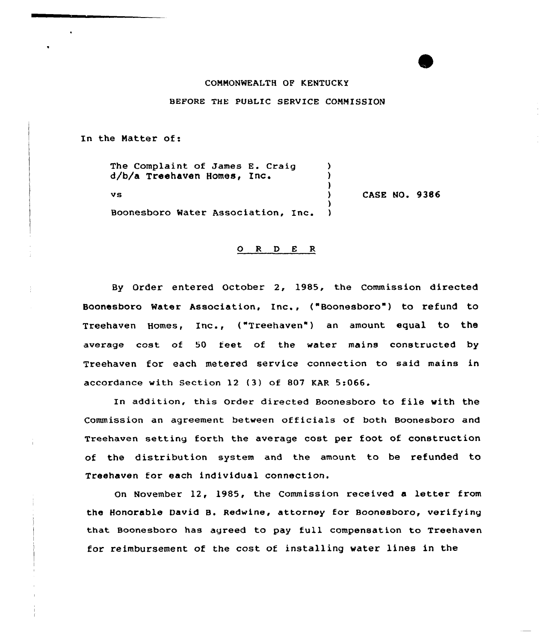## COMMONWEALTH OP KENTUCKY

## BEFORE THE PUBLIC SERVICE COMMISSION

In the Matter of:

The Complaint of James E. Craig (1)<br>d/b/a Treebayer Homes, Inc. d/b/a Treehaven Homes, Enc. ) )<br>) vs ) ) Boonesboro Water Association, Inc. CASE NO. 9386

## 0 <sup>R</sup> <sup>D</sup> <sup>E</sup> <sup>R</sup>

By Order entered October 2, 1985, the Commission directed Boonesboro Water Association, Inc., ("Boonesboro") to refund to Treehaven Homes, Inc., ("Treehaven") an amount equal to the average cost of 50 feet of the water mains constructed by Treehaven for each metered service connection to said mains in accordance with Section 12 {3) of 807 KAR 5:066.

In addition, this order directed Boonesboro to file with the Commission an agreement between officials of both Boonesboro and Treehaven setting forth the average cost per foot of construction of the distribution system and the amount to be refunded to Treehaven for each individual connection.

On November 12, 1985, the Commission received <sup>a</sup> letter from the Honorable David B. Redwine, attorney for Boonesboro, verifying that Boonesboro has agreed to pay full compensation to Treehaven for reimbursement of the cost of installing water lines in the